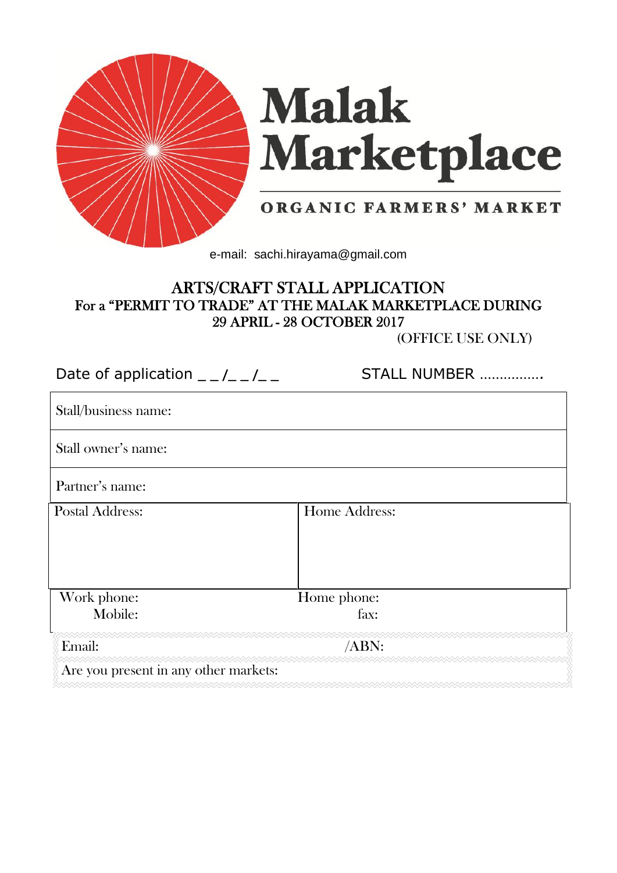

# **Malak** Marketplace

# ORGANIC FARMERS' MARKET

e-mail: sachi.hirayama@gmail.com

# **ARTS/CRAFT STALL APPLICATION For a "PERMIT TO TRADE" AT THE MALAK MARKETPLACE DURING 29 APRIL - 28 OCTOBER 2017**

(OFFICE USE ONLY)

| Date of application $  /$ $ /$ $ -$   | STALL NUMBER  |
|---------------------------------------|---------------|
| Stall/business name:                  |               |
| Stall owner's name:                   |               |
| Partner's name:                       |               |
| <b>Postal Address:</b>                | Home Address: |
|                                       |               |
| Work phone:                           | Home phone:   |
| Mobile:                               | fax:          |
| Email:                                | $/ABN$ :      |
| Are you present in any other markets: |               |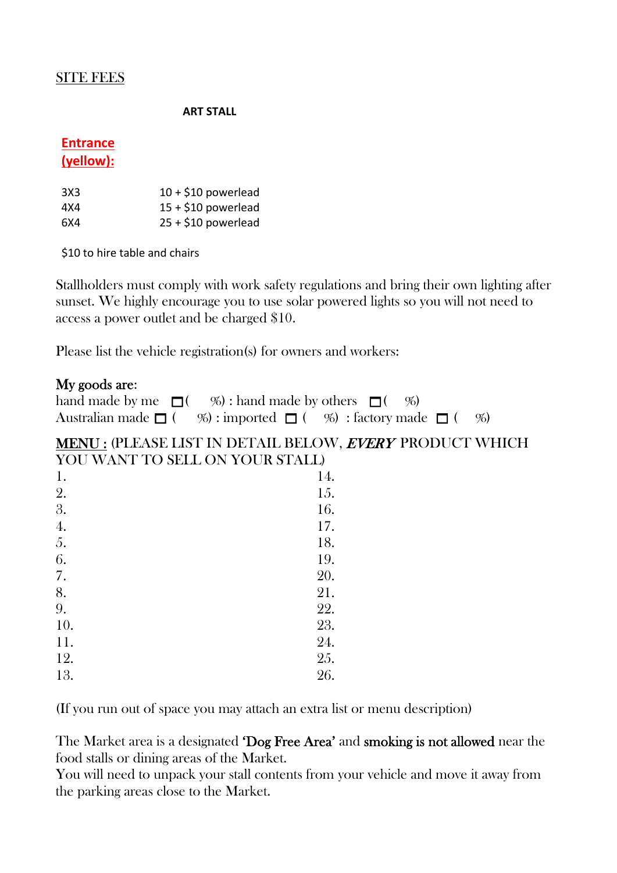## SITE FEES

#### **ART STALL**

# **Entrance**

#### **(yellow):**

| 3X3 | $10 + $10$ powerlead |
|-----|----------------------|
| 4X4 | $15 + $10$ powerlead |
| 6X4 | $25 + $10$ powerlead |

\$10 to hire table and chairs

Stallholders must comply with work safety regulations and bring their own lighting after sunset. We highly encourage you to use solar powered lights so you will not need to access a power outlet and be charged \$10.

Please list the vehicle registration(s) for owners and workers:

## **My goods are**:

| hand made by me $\Box$ (%) : hand made by others $\Box$ (%)                               |  |
|-------------------------------------------------------------------------------------------|--|
| Australian made $\Box$ ( $\%$ ) : imported $\Box$ ( $\%$ ) : factory made $\Box$ ( $\%$ ) |  |

## **MENU :** (PLEASE LIST IN DETAIL BELOW, *EVERY* PRODUCT WHICH YOU WANT TO SELL ON YOUR STALL)

| 1.  | 14. |
|-----|-----|
| 2.  | 15. |
| 3.  | 16. |
| 4.  | 17. |
| 5.  | 18. |
| 6.  | 19. |
| 7.  | 20. |
| 8.  | 21. |
| 9.  | 22. |
| 10. | 23. |
| 11. | 24. |
| 12. | 25. |
| 13. | 26. |

(If you run out of space you may attach an extra list or menu description)

The Market area is a designated **'Dog Free Area'** and **smoking is not allowed** near the food stalls or dining areas of the Market.

You will need to unpack your stall contents from your vehicle and move it away from the parking areas close to the Market.